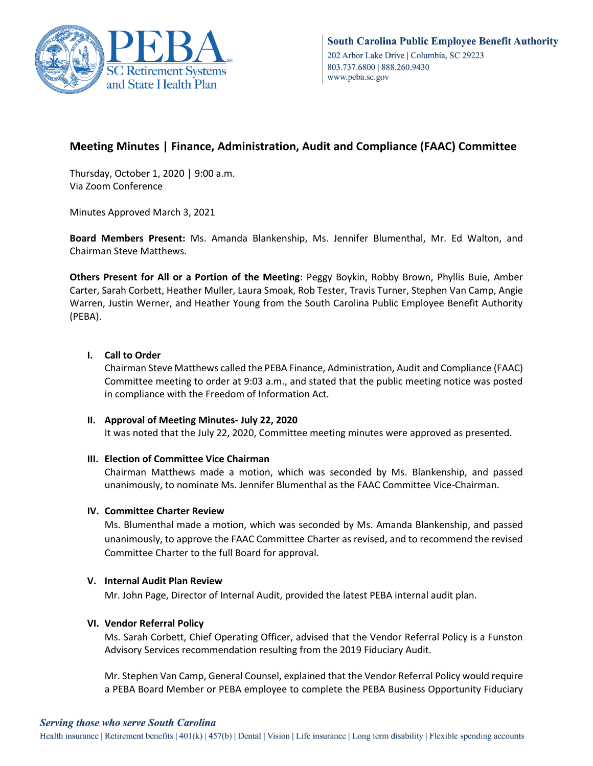

# **Meeting Minutes | Finance, Administration, Audit and Compliance (FAAC) Committee**

Thursday, October 1, 2020 │ 9:00 a.m. Via Zoom Conference

Minutes Approved March 3, 2021

**Board Members Present:** Ms. Amanda Blankenship, Ms. Jennifer Blumenthal, Mr. Ed Walton, and Chairman Steve Matthews.

**Others Present for All or a Portion of the Meeting**: Peggy Boykin, Robby Brown, Phyllis Buie, Amber Carter, Sarah Corbett, Heather Muller, Laura Smoak, Rob Tester, Travis Turner, Stephen Van Camp, Angie Warren, Justin Werner, and Heather Young from the South Carolina Public Employee Benefit Authority (PEBA).

## **I. Call to Order**

Chairman Steve Matthews called the PEBA Finance, Administration, Audit and Compliance (FAAC) Committee meeting to order at 9:03 a.m., and stated that the public meeting notice was posted in compliance with the Freedom of Information Act.

## **II. Approval of Meeting Minutes- July 22, 2020**

It was noted that the July 22, 2020, Committee meeting minutes were approved as presented.

## **III. Election of Committee Vice Chairman**

Chairman Matthews made a motion, which was seconded by Ms. Blankenship, and passed unanimously, to nominate Ms. Jennifer Blumenthal as the FAAC Committee Vice-Chairman.

#### **IV. Committee Charter Review**

Ms. Blumenthal made a motion, which was seconded by Ms. Amanda Blankenship, and passed unanimously, to approve the FAAC Committee Charter as revised, and to recommend the revised Committee Charter to the full Board for approval.

#### **V. Internal Audit Plan Review**

Mr. John Page, Director of Internal Audit, provided the latest PEBA internal audit plan.

## **VI. Vendor Referral Policy**

Ms. Sarah Corbett, Chief Operating Officer, advised that the Vendor Referral Policy is a Funston Advisory Services recommendation resulting from the 2019 Fiduciary Audit.

Mr. Stephen Van Camp, General Counsel, explained that the Vendor Referral Policy would require a PEBA Board Member or PEBA employee to complete the PEBA Business Opportunity Fiduciary